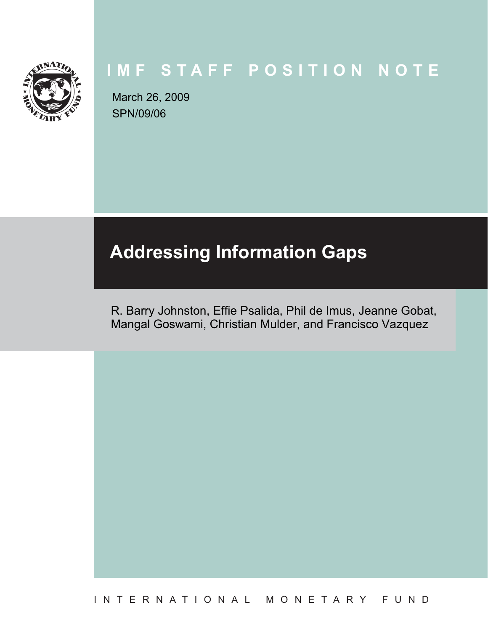

# **IMF STAFF POSITION NOTE**

SPN/09/06 March 26, 2009

# **Addressing Information Gaps**

R. Barry Johnston, Effie Psalida, Phil de Imus, Jeanne Gobat, Mangal Goswami, Christian Mulder, and Francisco Vazquez

INTERNATIONAL MONETARY FUND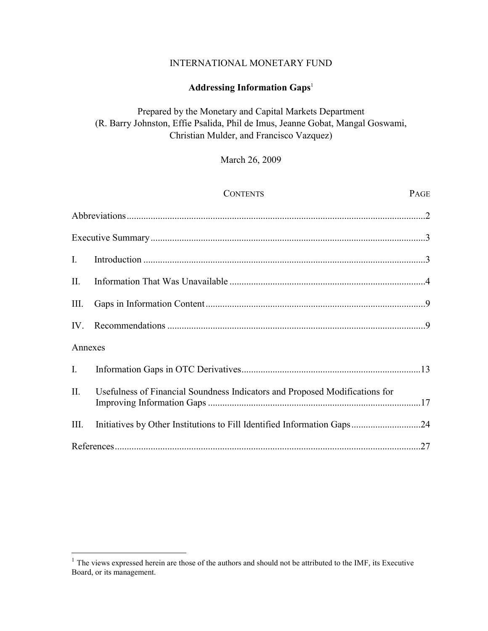# INTERNATIONAL MONETARY FUND

# **Addressing Information Gaps**<sup>1</sup>

# Prepared by the Monetary and Capital Markets Department (R. Barry Johnston, Effie Psalida, Phil de Imus, Jeanne Gobat, Mangal Goswami, Christian Mulder, and Francisco Vazquez)

# March 26, 2009

|                | <b>CONTENTS</b>                                                             | PAGE |
|----------------|-----------------------------------------------------------------------------|------|
|                |                                                                             |      |
|                |                                                                             |      |
| $\mathbf{I}$ . |                                                                             |      |
| II.            |                                                                             |      |
| Ш.             |                                                                             |      |
| $IV_{-}$       |                                                                             |      |
| Annexes        |                                                                             |      |
| $\mathbf{I}$ . |                                                                             |      |
| II.            | Usefulness of Financial Soundness Indicators and Proposed Modifications for |      |
| III.           | Initiatives by Other Institutions to Fill Identified Information Gaps24     |      |
|                |                                                                             |      |

<u>.</u>

 $<sup>1</sup>$  The views expressed herein are those of the authors and should not be attributed to the IMF, its Executive</sup> Board, or its management.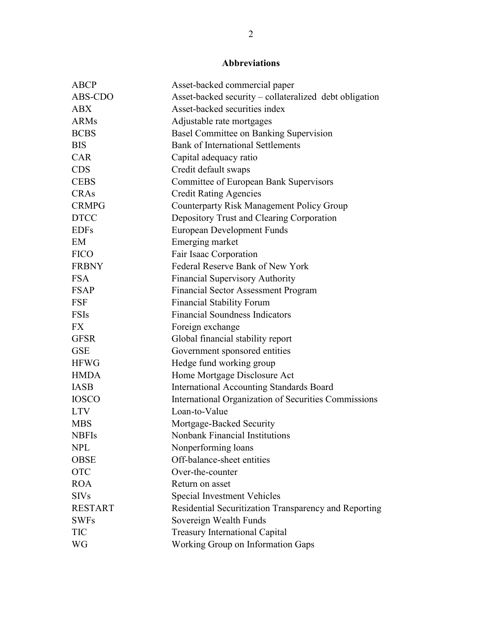# **Abbreviations**

| <b>ABCP</b>    | Asset-backed commercial paper                          |
|----------------|--------------------------------------------------------|
| ABS-CDO        | Asset-backed security - collateralized debt obligation |
| <b>ABX</b>     | Asset-backed securities index                          |
| <b>ARMs</b>    | Adjustable rate mortgages                              |
| <b>BCBS</b>    | Basel Committee on Banking Supervision                 |
| <b>BIS</b>     | <b>Bank of International Settlements</b>               |
| <b>CAR</b>     | Capital adequacy ratio                                 |
| <b>CDS</b>     | Credit default swaps                                   |
| <b>CEBS</b>    | Committee of European Bank Supervisors                 |
| <b>CRAs</b>    | <b>Credit Rating Agencies</b>                          |
| <b>CRMPG</b>   | <b>Counterparty Risk Management Policy Group</b>       |
| <b>DTCC</b>    | Depository Trust and Clearing Corporation              |
| <b>EDFs</b>    | <b>European Development Funds</b>                      |
| EM             | Emerging market                                        |
| <b>FICO</b>    | Fair Isaac Corporation                                 |
| <b>FRBNY</b>   | Federal Reserve Bank of New York                       |
| <b>FSA</b>     | <b>Financial Supervisory Authority</b>                 |
| <b>FSAP</b>    | <b>Financial Sector Assessment Program</b>             |
| <b>FSF</b>     | <b>Financial Stability Forum</b>                       |
| <b>FSIs</b>    | <b>Financial Soundness Indicators</b>                  |
| <b>FX</b>      | Foreign exchange                                       |
| <b>GFSR</b>    | Global financial stability report                      |
| <b>GSE</b>     | Government sponsored entities                          |
| <b>HFWG</b>    | Hedge fund working group                               |
| <b>HMDA</b>    | Home Mortgage Disclosure Act                           |
| <b>IASB</b>    | <b>International Accounting Standards Board</b>        |
| <b>IOSCO</b>   | International Organization of Securities Commissions   |
| <b>LTV</b>     | Loan-to-Value                                          |
| <b>MBS</b>     | Mortgage-Backed Security                               |
| <b>NBFIs</b>   | Nonbank Financial Institutions                         |
| <b>NPL</b>     | Nonperforming loans                                    |
| <b>OBSE</b>    | Off-balance-sheet entities                             |
| <b>OTC</b>     | Over-the-counter                                       |
| <b>ROA</b>     | Return on asset                                        |
| <b>SIVs</b>    | <b>Special Investment Vehicles</b>                     |
| <b>RESTART</b> | Residential Securitization Transparency and Reporting  |
| <b>SWFs</b>    | Sovereign Wealth Funds                                 |
| <b>TIC</b>     | <b>Treasury International Capital</b>                  |
| WG             | Working Group on Information Gaps                      |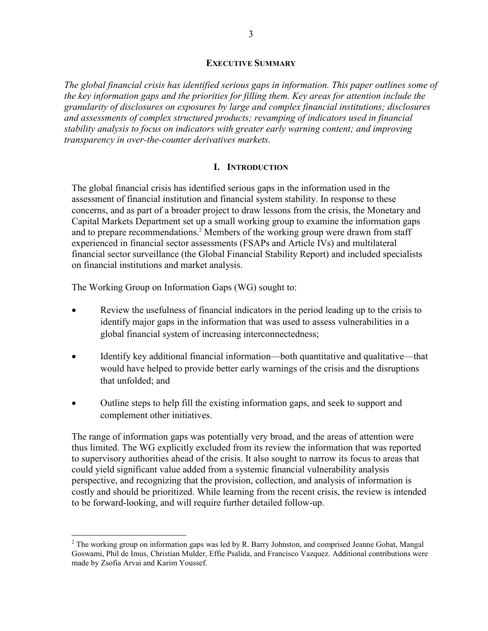#### **EXECUTIVE SUMMARY**

*The global financial crisis has identified serious gaps in information. This paper outlines some of the key information gaps and the priorities for filling them. Key areas for attention include the granularity of disclosures on exposures by large and complex financial institutions; disclosures and assessments of complex structured products; revamping of indicators used in financial stability analysis to focus on indicators with greater early warning content; and improving transparency in over-the-counter derivatives markets.* 

### **I. INTRODUCTION**

The global financial crisis has identified serious gaps in the information used in the assessment of financial institution and financial system stability. In response to these concerns, and as part of a broader project to draw lessons from the crisis, the Monetary and Capital Markets Department set up a small working group to examine the information gaps and to prepare recommendations.<sup>2</sup> Members of the working group were drawn from staff experienced in financial sector assessments (FSAPs and Article IVs) and multilateral financial sector surveillance (the Global Financial Stability Report) and included specialists on financial institutions and market analysis.

The Working Group on Information Gaps (WG) sought to:

 $\overline{a}$ 

- Review the usefulness of financial indicators in the period leading up to the crisis to identify major gaps in the information that was used to assess vulnerabilities in a global financial system of increasing interconnectedness;
- Identify key additional financial information—both quantitative and qualitative—that would have helped to provide better early warnings of the crisis and the disruptions that unfolded; and
- Outline steps to help fill the existing information gaps, and seek to support and complement other initiatives.

The range of information gaps was potentially very broad, and the areas of attention were thus limited. The WG explicitly excluded from its review the information that was reported to supervisory authorities ahead of the crisis. It also sought to narrow its focus to areas that could yield significant value added from a systemic financial vulnerability analysis perspective, and recognizing that the provision, collection, and analysis of information is costly and should be prioritized. While learning from the recent crisis, the review is intended to be forward-looking, and will require further detailed follow-up.

 $2$  The working group on information gaps was led by R. Barry Johnston, and comprised Jeanne Gobat, Mangal Goswami, Phil de Imus, Christian Mulder, Effie Psalida, and Francisco Vazquez. Additional contributions were made by Zsofia Arvai and Karim Youssef.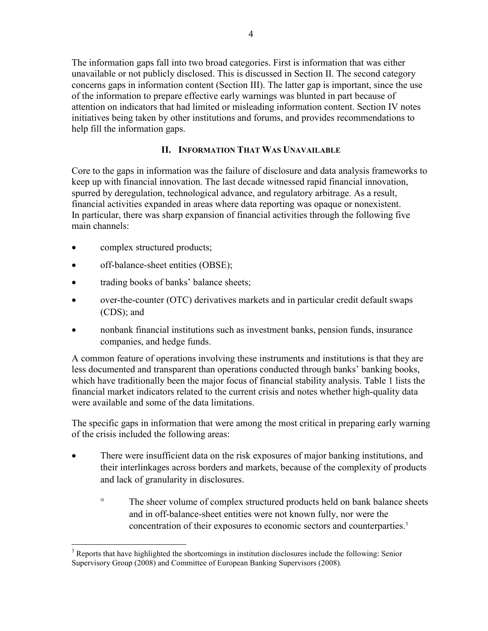The information gaps fall into two broad categories. First is information that was either unavailable or not publicly disclosed. This is discussed in Section II. The second category concerns gaps in information content (Section III). The latter gap is important, since the use of the information to prepare effective early warnings was blunted in part because of attention on indicators that had limited or misleading information content. Section IV notes initiatives being taken by other institutions and forums, and provides recommendations to help fill the information gaps.

# **II. INFORMATION THAT WAS UNAVAILABLE**

Core to the gaps in information was the failure of disclosure and data analysis frameworks to keep up with financial innovation. The last decade witnessed rapid financial innovation, spurred by deregulation, technological advance, and regulatory arbitrage. As a result, financial activities expanded in areas where data reporting was opaque or nonexistent. In particular, there was sharp expansion of financial activities through the following five main channels:

complex structured products;

<u>.</u>

- off-balance-sheet entities (OBSE);
- trading books of banks' balance sheets;
- over-the-counter (OTC) derivatives markets and in particular credit default swaps (CDS); and
- nonbank financial institutions such as investment banks, pension funds, insurance companies, and hedge funds.

A common feature of operations involving these instruments and institutions is that they are less documented and transparent than operations conducted through banks' banking books, which have traditionally been the major focus of financial stability analysis. Table 1 lists the financial market indicators related to the current crisis and notes whether high-quality data were available and some of the data limitations.

The specific gaps in information that were among the most critical in preparing early warning of the crisis included the following areas:

- There were insufficient data on the risk exposures of major banking institutions, and their interlinkages across borders and markets, because of the complexity of products and lack of granularity in disclosures.
	- ° The sheer volume of complex structured products held on bank balance sheets and in off-balance-sheet entities were not known fully, nor were the concentration of their exposures to economic sectors and counterparties.<sup>3</sup>

 $3$  Reports that have highlighted the shortcomings in institution disclosures include the following: Senior Supervisory Group (2008) and Committee of European Banking Supervisors (2008)*.*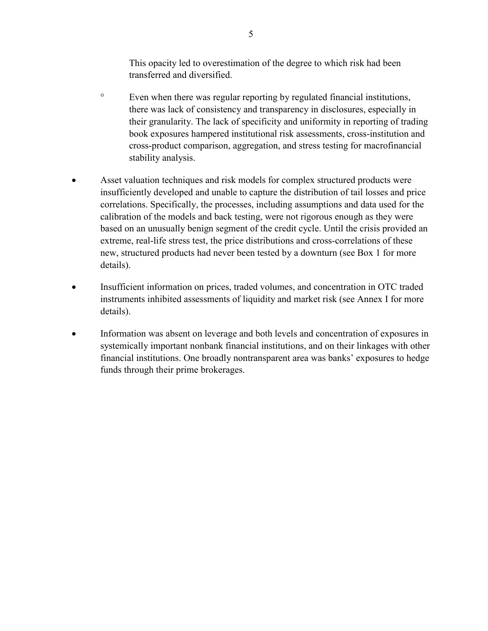This opacity led to overestimation of the degree to which risk had been transferred and diversified.

- ° Even when there was regular reporting by regulated financial institutions, there was lack of consistency and transparency in disclosures, especially in their granularity. The lack of specificity and uniformity in reporting of trading book exposures hampered institutional risk assessments, cross-institution and cross-product comparison, aggregation, and stress testing for macrofinancial stability analysis.
- Asset valuation techniques and risk models for complex structured products were insufficiently developed and unable to capture the distribution of tail losses and price correlations. Specifically, the processes, including assumptions and data used for the calibration of the models and back testing, were not rigorous enough as they were based on an unusually benign segment of the credit cycle. Until the crisis provided an extreme, real-life stress test, the price distributions and cross-correlations of these new, structured products had never been tested by a downturn (see Box 1 for more details).
- Insufficient information on prices, traded volumes, and concentration in OTC traded instruments inhibited assessments of liquidity and market risk (see Annex I for more details).
- Information was absent on leverage and both levels and concentration of exposures in systemically important nonbank financial institutions, and on their linkages with other financial institutions. One broadly nontransparent area was banks' exposures to hedge funds through their prime brokerages.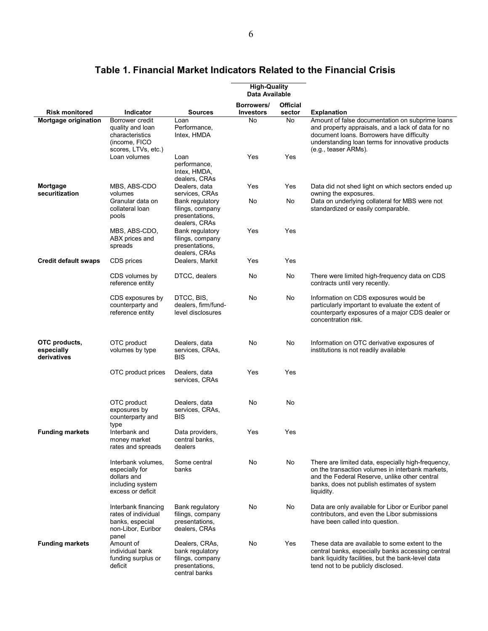|                                            |                                                                                                |                                                                                          | <b>High-Quality</b><br>Data Available |                           |                                                                                                                                                                                                                                |
|--------------------------------------------|------------------------------------------------------------------------------------------------|------------------------------------------------------------------------------------------|---------------------------------------|---------------------------|--------------------------------------------------------------------------------------------------------------------------------------------------------------------------------------------------------------------------------|
| <b>Risk monitored</b>                      | Indicator                                                                                      | <b>Sources</b>                                                                           | Borrowers/<br><b>Investors</b>        | <b>Official</b><br>sector | <b>Explanation</b>                                                                                                                                                                                                             |
| Mortgage origination                       | Borrower credit<br>quality and loan<br>characteristics<br>(income, FICO<br>scores, LTVs, etc.) | Loan<br>Performance,<br>Intex, HMDA                                                      | No                                    | No                        | Amount of false documentation on subprime loans<br>and property appraisals, and a lack of data for no<br>document loans. Borrowers have difficulty<br>understanding loan terms for innovative products<br>(e.g., teaser ARMs). |
|                                            | Loan volumes                                                                                   | Loan<br>performance,<br>Intex, HMDA,<br>dealers, CRAs                                    | Yes                                   | Yes                       |                                                                                                                                                                                                                                |
| Mortgage<br>securitization                 | MBS, ABS-CDO<br>volumes                                                                        | Dealers, data<br>services, CRAs                                                          | Yes                                   | Yes                       | Data did not shed light on which sectors ended up<br>owning the exposures.                                                                                                                                                     |
|                                            | Granular data on<br>collateral loan<br>pools                                                   | Bank regulatory<br>filings, company<br>presentations,<br>dealers, CRAs                   | No                                    | No                        | Data on underlying collateral for MBS were not<br>standardized or easily comparable.                                                                                                                                           |
|                                            | MBS, ABS-CDO,<br>ABX prices and<br>spreads                                                     | Bank regulatory<br>filings, company<br>presentations,<br>dealers, CRAs                   | Yes                                   | Yes                       |                                                                                                                                                                                                                                |
| <b>Credit default swaps</b>                | CDS prices                                                                                     | Dealers, Markit                                                                          | Yes                                   | Yes                       |                                                                                                                                                                                                                                |
|                                            | CDS volumes by<br>reference entity                                                             | DTCC, dealers                                                                            | No                                    | No                        | There were limited high-frequency data on CDS<br>contracts until very recently.                                                                                                                                                |
|                                            | CDS exposures by<br>counterparty and<br>reference entity                                       | DTCC, BIS,<br>dealers, firm/fund-<br>level disclosures                                   | No                                    | No                        | Information on CDS exposures would be<br>particularly important to evaluate the extent of<br>counterparty exposures of a major CDS dealer or<br>concentration risk.                                                            |
| OTC products,<br>especially<br>derivatives | OTC product<br>volumes by type                                                                 | Dealers, data<br>services, CRAs,<br><b>BIS</b>                                           | No                                    | No                        | Information on OTC derivative exposures of<br>institutions is not readily available                                                                                                                                            |
|                                            | OTC product prices                                                                             | Dealers, data<br>services, CRAs                                                          | Yes                                   | Yes                       |                                                                                                                                                                                                                                |
|                                            | OTC product<br>exposures by<br>counterparty and<br>type                                        | Dealers, data<br>services, CRAs,<br><b>BIS</b>                                           | No                                    | No                        |                                                                                                                                                                                                                                |
| <b>Funding markets</b>                     | Interbank and<br>money market<br>rates and spreads                                             | Data providers,<br>central banks,<br>dealers                                             | Yes                                   | Yes                       |                                                                                                                                                                                                                                |
|                                            | Interbank volumes.<br>especially for<br>dollars and<br>including system<br>excess or deficit   | Some central<br>banks                                                                    | No                                    | No                        | There are limited data, especially high-frequency,<br>on the transaction volumes in interbank markets.<br>and the Federal Reserve, unlike other central<br>banks, does not publish estimates of system<br>liquidity.           |
|                                            | Interbank financing<br>rates of individual<br>banks, especial<br>non-Libor, Euribor<br>panel   | Bank regulatory<br>filings, company<br>presentations,<br>dealers, CRAs                   | No                                    | No                        | Data are only available for Libor or Euribor panel<br>contributors, and even the Libor submissions<br>have been called into question.                                                                                          |
| <b>Funding markets</b>                     | Amount of<br>individual bank<br>funding surplus or<br>deficit                                  | Dealers, CRAs,<br>bank regulatory<br>filings, company<br>presentations,<br>central banks | No                                    | Yes                       | These data are available to some extent to the<br>central banks, especially banks accessing central<br>bank liquidity facilities, but the bank-level data<br>tend not to be publicly disclosed.                                |

# **Table 1. Financial Market Indicators Related to the Financial Crisis**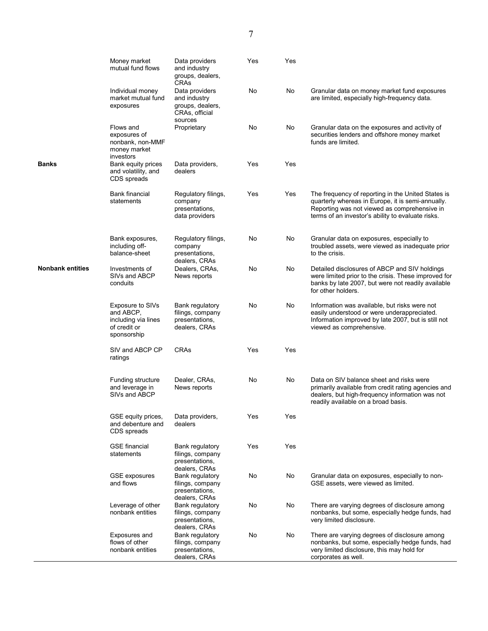|                         | Money market<br>mutual fund flows                                                   | Data providers<br>and industry<br>groups, dealers,<br>CRAs                      | Yes | Yes |                                                                                                                                                                                                              |
|-------------------------|-------------------------------------------------------------------------------------|---------------------------------------------------------------------------------|-----|-----|--------------------------------------------------------------------------------------------------------------------------------------------------------------------------------------------------------------|
|                         | Individual money<br>market mutual fund<br>exposures                                 | Data providers<br>and industry<br>groups, dealers,<br>CRAs, official<br>sources | No  | No  | Granular data on money market fund exposures<br>are limited, especially high-frequency data.                                                                                                                 |
|                         | Flows and<br>exposures of<br>nonbank, non-MMF<br>money market<br>investors          | Proprietary                                                                     | No  | No  | Granular data on the exposures and activity of<br>securities lenders and offshore money market<br>funds are limited.                                                                                         |
| <b>Banks</b>            | Bank equity prices<br>and volatility, and<br>CDS spreads                            | Data providers,<br>dealers                                                      | Yes | Yes |                                                                                                                                                                                                              |
|                         | <b>Bank financial</b><br>statements                                                 | Regulatory filings,<br>company<br>presentations,<br>data providers              | Yes | Yes | The frequency of reporting in the United States is<br>quarterly whereas in Europe, it is semi-annually.<br>Reporting was not viewed as comprehensive in<br>terms of an investor's ability to evaluate risks. |
|                         | Bank exposures,<br>including off-<br>balance-sheet                                  | Regulatory filings,<br>company<br>presentations,<br>dealers, CRAs               | No  | No  | Granular data on exposures, especially to<br>troubled assets, were viewed as inadequate prior<br>to the crisis.                                                                                              |
| <b>Nonbank entities</b> | Investments of<br>SIVs and ABCP<br>conduits                                         | Dealers, CRAs,<br>News reports                                                  | No  | No  | Detailed disclosures of ABCP and SIV holdings<br>were limited prior to the crisis. These improved for<br>banks by late 2007, but were not readily available<br>for other holders.                            |
|                         | Exposure to SIVs<br>and ABCP,<br>including via lines<br>of credit or<br>sponsorship | Bank regulatory<br>filings, company<br>presentations,<br>dealers, CRAs          | No  | No  | Information was available, but risks were not<br>easily understood or were underappreciated.<br>Information improved by late 2007, but is still not<br>viewed as comprehensive.                              |
|                         | SIV and ABCP CP<br>ratings                                                          | CRAs                                                                            | Yes | Yes |                                                                                                                                                                                                              |
|                         | Funding structure<br>and leverage in<br>SIVs and ABCP                               | Dealer, CRAs,<br>News reports                                                   | No  | No  | Data on SIV balance sheet and risks were<br>primarily available from credit rating agencies and<br>dealers, but high-frequency information was not<br>readily available on a broad basis.                    |
|                         | GSE equity prices,<br>and debenture and<br>CDS spreads                              | Data providers,<br>dealers                                                      | Yes | Yes |                                                                                                                                                                                                              |
|                         | <b>GSE</b> financial<br>statements                                                  | Bank regulatory<br>filings, company<br>presentations,<br>dealers, CRAs          | Yes | Yes |                                                                                                                                                                                                              |
|                         | <b>GSE</b> exposures<br>and flows                                                   | Bank regulatory<br>filings, company<br>presentations,<br>dealers, CRAs          | No  | No  | Granular data on exposures, especially to non-<br>GSE assets, were viewed as limited.                                                                                                                        |
|                         | Leverage of other<br>nonbank entities                                               | Bank regulatory<br>filings, company<br>presentations,<br>dealers, CRAs          | No  | No  | There are varying degrees of disclosure among<br>nonbanks, but some, especially hedge funds, had<br>very limited disclosure.                                                                                 |
|                         | Exposures and<br>flows of other<br>nonbank entities                                 | Bank regulatory<br>filings, company<br>presentations,<br>dealers, CRAs          | No  | No  | There are varying degrees of disclosure among<br>nonbanks, but some, especially hedge funds, had<br>very limited disclosure, this may hold for<br>corporates as well.                                        |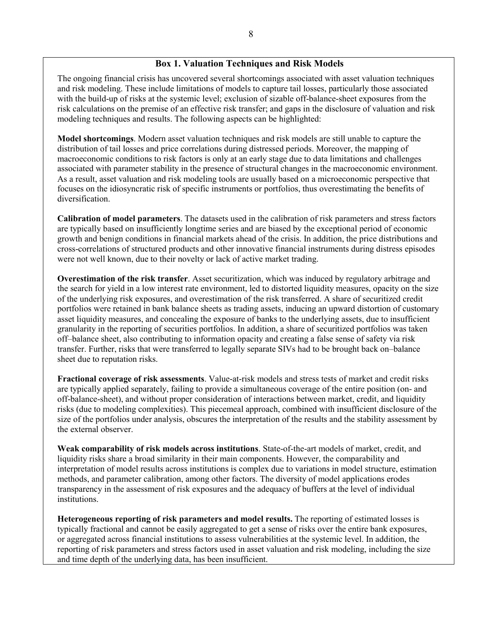## **Box 1. Valuation Techniques and Risk Models**

The ongoing financial crisis has uncovered several shortcomings associated with asset valuation techniques and risk modeling. These include limitations of models to capture tail losses, particularly those associated with the build-up of risks at the systemic level; exclusion of sizable off-balance-sheet exposures from the risk calculations on the premise of an effective risk transfer; and gaps in the disclosure of valuation and risk modeling techniques and results. The following aspects can be highlighted:

**Model shortcomings**. Modern asset valuation techniques and risk models are still unable to capture the distribution of tail losses and price correlations during distressed periods. Moreover, the mapping of macroeconomic conditions to risk factors is only at an early stage due to data limitations and challenges associated with parameter stability in the presence of structural changes in the macroeconomic environment. As a result, asset valuation and risk modeling tools are usually based on a microeconomic perspective that focuses on the idiosyncratic risk of specific instruments or portfolios, thus overestimating the benefits of diversification.

**Calibration of model parameters**. The datasets used in the calibration of risk parameters and stress factors are typically based on insufficiently longtime series and are biased by the exceptional period of economic growth and benign conditions in financial markets ahead of the crisis. In addition, the price distributions and cross-correlations of structured products and other innovative financial instruments during distress episodes were not well known, due to their novelty or lack of active market trading.

**Overestimation of the risk transfer**. Asset securitization, which was induced by regulatory arbitrage and the search for yield in a low interest rate environment, led to distorted liquidity measures, opacity on the size of the underlying risk exposures, and overestimation of the risk transferred. A share of securitized credit portfolios were retained in bank balance sheets as trading assets, inducing an upward distortion of customary asset liquidity measures, and concealing the exposure of banks to the underlying assets, due to insufficient granularity in the reporting of securities portfolios. In addition, a share of securitized portfolios was taken off–balance sheet, also contributing to information opacity and creating a false sense of safety via risk transfer. Further, risks that were transferred to legally separate SIVs had to be brought back on–balance sheet due to reputation risks.

**Fractional coverage of risk assessments**. Value-at-risk models and stress tests of market and credit risks are typically applied separately, failing to provide a simultaneous coverage of the entire position (on- and off-balance-sheet), and without proper consideration of interactions between market, credit, and liquidity risks (due to modeling complexities). This piecemeal approach, combined with insufficient disclosure of the size of the portfolios under analysis, obscures the interpretation of the results and the stability assessment by the external observer.

**Weak comparability of risk models across institutions**. State-of-the-art models of market, credit, and liquidity risks share a broad similarity in their main components. However, the comparability and interpretation of model results across institutions is complex due to variations in model structure, estimation methods, and parameter calibration, among other factors. The diversity of model applications erodes transparency in the assessment of risk exposures and the adequacy of buffers at the level of individual institutions.

**Heterogeneous reporting of risk parameters and model results.** The reporting of estimated losses is typically fractional and cannot be easily aggregated to get a sense of risks over the entire bank exposures, or aggregated across financial institutions to assess vulnerabilities at the systemic level. In addition, the reporting of risk parameters and stress factors used in asset valuation and risk modeling, including the size and time depth of the underlying data, has been insufficient.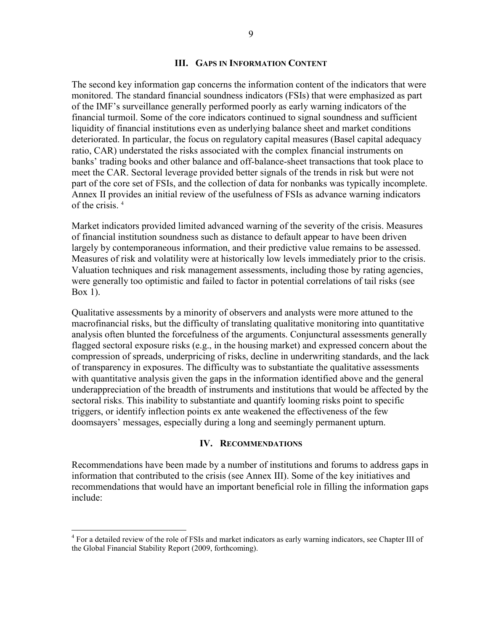#### **III. GAPS IN INFORMATION CONTENT**

The second key information gap concerns the information content of the indicators that were monitored. The standard financial soundness indicators (FSIs) that were emphasized as part of the IMF's surveillance generally performed poorly as early warning indicators of the financial turmoil. Some of the core indicators continued to signal soundness and sufficient liquidity of financial institutions even as underlying balance sheet and market conditions deteriorated. In particular, the focus on regulatory capital measures (Basel capital adequacy ratio, CAR) understated the risks associated with the complex financial instruments on banks' trading books and other balance and off-balance-sheet transactions that took place to meet the CAR. Sectoral leverage provided better signals of the trends in risk but were not part of the core set of FSIs, and the collection of data for nonbanks was typically incomplete. Annex II provides an initial review of the usefulness of FSIs as advance warning indicators of the crisis  $4$ 

Market indicators provided limited advanced warning of the severity of the crisis. Measures of financial institution soundness such as distance to default appear to have been driven largely by contemporaneous information, and their predictive value remains to be assessed. Measures of risk and volatility were at historically low levels immediately prior to the crisis. Valuation techniques and risk management assessments, including those by rating agencies, were generally too optimistic and failed to factor in potential correlations of tail risks (see Box 1).

Qualitative assessments by a minority of observers and analysts were more attuned to the macrofinancial risks, but the difficulty of translating qualitative monitoring into quantitative analysis often blunted the forcefulness of the arguments. Conjunctural assessments generally flagged sectoral exposure risks (e.g., in the housing market) and expressed concern about the compression of spreads, underpricing of risks, decline in underwriting standards, and the lack of transparency in exposures. The difficulty was to substantiate the qualitative assessments with quantitative analysis given the gaps in the information identified above and the general underappreciation of the breadth of instruments and institutions that would be affected by the sectoral risks. This inability to substantiate and quantify looming risks point to specific triggers, or identify inflection points ex ante weakened the effectiveness of the few doomsayers' messages, especially during a long and seemingly permanent upturn.

#### **IV. RECOMMENDATIONS**

Recommendations have been made by a number of institutions and forums to address gaps in information that contributed to the crisis (see Annex III). Some of the key initiatives and recommendations that would have an important beneficial role in filling the information gaps include:

<sup>&</sup>lt;sup>4</sup> For a detailed review of the role of FSIs and market indicators as early warning indicators, see Chapter III of the Global Financial Stability Report (2009, forthcoming).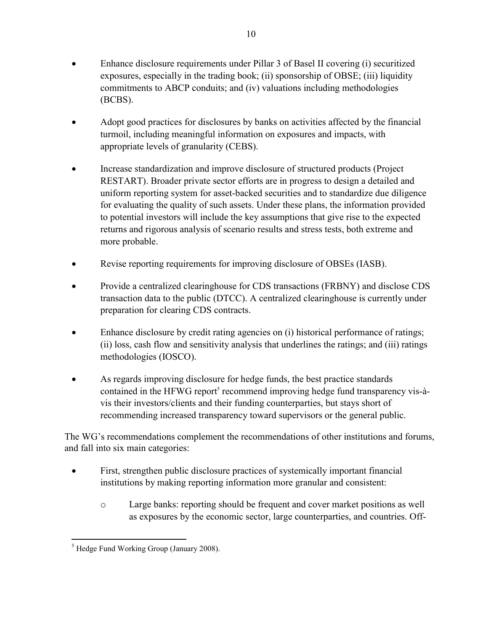- Enhance disclosure requirements under Pillar 3 of Basel II covering (i) securitized exposures, especially in the trading book; (ii) sponsorship of OBSE; (iii) liquidity commitments to ABCP conduits; and (iv) valuations including methodologies (BCBS).
- Adopt good practices for disclosures by banks on activities affected by the financial turmoil, including meaningful information on exposures and impacts, with appropriate levels of granularity (CEBS).
- Increase standardization and improve disclosure of structured products (Project RESTART). Broader private sector efforts are in progress to design a detailed and uniform reporting system for asset-backed securities and to standardize due diligence for evaluating the quality of such assets. Under these plans, the information provided to potential investors will include the key assumptions that give rise to the expected returns and rigorous analysis of scenario results and stress tests, both extreme and more probable.
- Revise reporting requirements for improving disclosure of OBSEs (IASB).
- Provide a centralized clearinghouse for CDS transactions (FRBNY) and disclose CDS transaction data to the public (DTCC). A centralized clearinghouse is currently under preparation for clearing CDS contracts.
- Enhance disclosure by credit rating agencies on (i) historical performance of ratings; (ii) loss, cash flow and sensitivity analysis that underlines the ratings; and (iii) ratings methodologies (IOSCO).
- As regards improving disclosure for hedge funds, the best practice standards contained in the HFWG report<sup>5</sup> recommend improving hedge fund transparency vis-àvis their investors/clients and their funding counterparties, but stays short of recommending increased transparency toward supervisors or the general public.

The WG's recommendations complement the recommendations of other institutions and forums, and fall into six main categories:

- First, strengthen public disclosure practices of systemically important financial institutions by making reporting information more granular and consistent:
	- o Large banks: reporting should be frequent and cover market positions as well as exposures by the economic sector, large counterparties, and countries. Off-

 $\overline{a}$ <sup>5</sup> Hedge Fund Working Group (January 2008).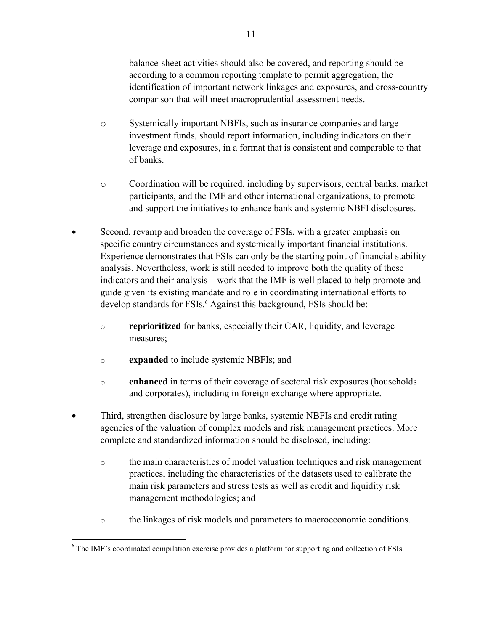balance-sheet activities should also be covered, and reporting should be according to a common reporting template to permit aggregation, the identification of important network linkages and exposures, and cross-country comparison that will meet macroprudential assessment needs.

- o Systemically important NBFIs, such as insurance companies and large investment funds, should report information, including indicators on their leverage and exposures, in a format that is consistent and comparable to that of banks.
- o Coordination will be required, including by supervisors, central banks, market participants, and the IMF and other international organizations, to promote and support the initiatives to enhance bank and systemic NBFI disclosures.
- Second, revamp and broaden the coverage of FSIs, with a greater emphasis on specific country circumstances and systemically important financial institutions. Experience demonstrates that FSIs can only be the starting point of financial stability analysis. Nevertheless, work is still needed to improve both the quality of these indicators and their analysis—work that the IMF is well placed to help promote and guide given its existing mandate and role in coordinating international efforts to develop standards for FSIs.<sup>6</sup> Against this background, FSIs should be:
	- o **reprioritized** for banks, especially their CAR, liquidity, and leverage measures;
	- o **expanded** to include systemic NBFIs; and
	- o **enhanced** in terms of their coverage of sectoral risk exposures (households and corporates), including in foreign exchange where appropriate.
- Third, strengthen disclosure by large banks, systemic NBFIs and credit rating agencies of the valuation of complex models and risk management practices. More complete and standardized information should be disclosed, including:
	- $\circ$  the main characteristics of model valuation techniques and risk management practices, including the characteristics of the datasets used to calibrate the main risk parameters and stress tests as well as credit and liquidity risk management methodologies; and
	- o the linkages of risk models and parameters to macroeconomic conditions.

<sup>1</sup> <sup>6</sup> The IMF's coordinated compilation exercise provides a platform for supporting and collection of FSIs.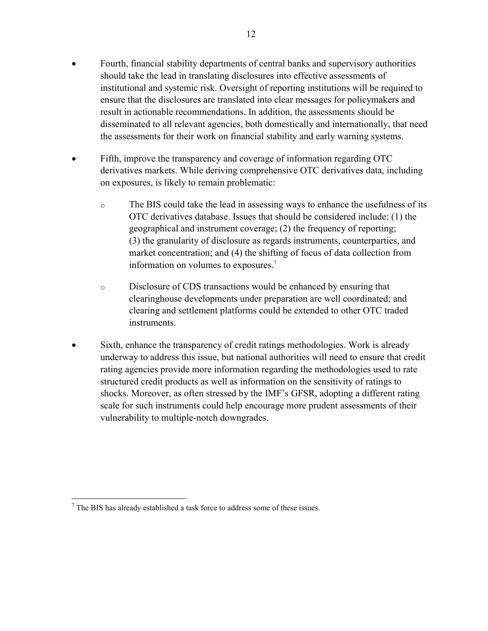- Fourth, financial stability departments of central banks and supervisory authorities should take the lead in translating disclosures into effective assessments of institutional and systemic risk. Oversight of reporting institutions will be required to ensure that the disclosures are translated into clear messages for policymakers and result in actionable recommendations. In addition, the assessments should be disseminated to all relevant agencies, both domestically and internationally, that need the assessments for their work on financial stability and early warning systems.
- Fifth, improve the transparency and coverage of information regarding OTC derivatives markets. While deriving comprehensive OTC derivatives data, including on exposures, is likely to remain problematic:
	- o The BIS could take the lead in assessing ways to enhance the usefulness of its OTC derivatives database. Issues that should be considered include: (1) the geographical and instrument coverage; (2) the frequency of reporting; (3) the granularity of disclosure as regards instruments, counterparties, and market concentration; and (4) the shifting of focus of data collection from information on volumes to exposures.7
	- o Disclosure of CDS transactions would be enhanced by ensuring that clearinghouse developments under preparation are well coordinated; and clearing and settlement platforms could be extended to other OTC traded instruments.
- Sixth, enhance the transparency of credit ratings methodologies. Work is already underway to address this issue, but national authorities will need to ensure that credit rating agencies provide more information regarding the methodologies used to rate structured credit products as well as information on the sensitivity of ratings to shocks. Moreover, as often stressed by the IMF's GFSR, adopting a different rating scale for such instruments could help encourage more prudent assessments of their vulnerability to multiple-notch downgrades.

 $<sup>7</sup>$  The BIS has already established a task force to address some of these issues.</sup>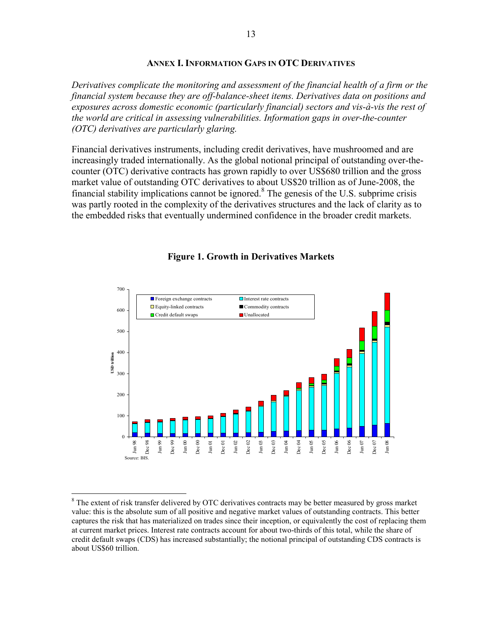#### **ANNEX I. INFORMATION GAPS IN OTC DERIVATIVES**

*Derivatives complicate the monitoring and assessment of the financial health of a firm or the financial system because they are off-balance-sheet items. Derivatives data on positions and exposures across domestic economic (particularly financial) sectors and vis-à-vis the rest of the world are critical in assessing vulnerabilities. Information gaps in over-the-counter (OTC) derivatives are particularly glaring.* 

Financial derivatives instruments, including credit derivatives, have mushroomed and are increasingly traded internationally. As the global notional principal of outstanding over-thecounter (OTC) derivative contracts has grown rapidly to over US\$680 trillion and the gross market value of outstanding OTC derivatives to about US\$20 trillion as of June-2008, the financial stability implications cannot be ignored.<sup>8</sup> The genesis of the U.S. subprime crisis was partly rooted in the complexity of the derivatives structures and the lack of clarity as to the embedded risks that eventually undermined confidence in the broader credit markets.



#### **Figure 1. Growth in Derivatives Markets**

<sup>&</sup>lt;sup>8</sup> The extent of risk transfer delivered by OTC derivatives contracts may be better measured by gross market value: this is the absolute sum of all positive and negative market values of outstanding contracts. This better captures the risk that has materialized on trades since their inception, or equivalently the cost of replacing them at current market prices. Interest rate contracts account for about two-thirds of this total, while the share of credit default swaps (CDS) has increased substantially; the notional principal of outstanding CDS contracts is about US\$60 trillion.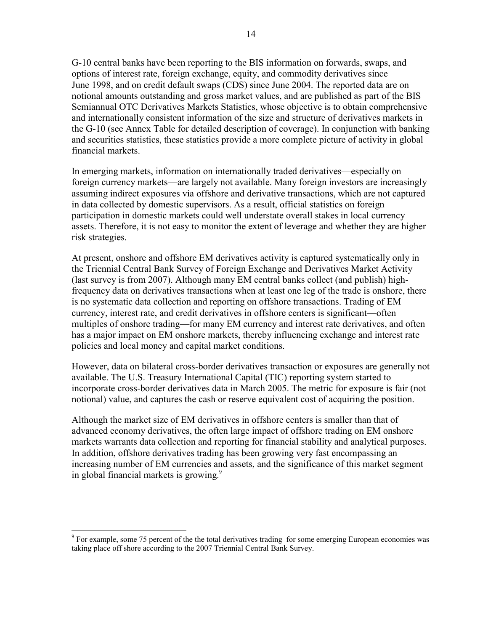G-10 central banks have been reporting to the BIS information on forwards, swaps, and options of interest rate, foreign exchange, equity, and commodity derivatives since June 1998, and on credit default swaps (CDS) since June 2004. The reported data are on notional amounts outstanding and gross market values, and are published as part of the BIS Semiannual OTC Derivatives Markets Statistics, whose objective is to obtain comprehensive and internationally consistent information of the size and structure of derivatives markets in the G-10 (see Annex Table for detailed description of coverage). In conjunction with banking and securities statistics, these statistics provide a more complete picture of activity in global financial markets.

In emerging markets, information on internationally traded derivatives—especially on foreign currency markets—are largely not available. Many foreign investors are increasingly assuming indirect exposures via offshore and derivative transactions, which are not captured in data collected by domestic supervisors. As a result, official statistics on foreign participation in domestic markets could well understate overall stakes in local currency assets. Therefore, it is not easy to monitor the extent of leverage and whether they are higher risk strategies.

At present, onshore and offshore EM derivatives activity is captured systematically only in the Triennial Central Bank Survey of Foreign Exchange and Derivatives Market Activity (last survey is from 2007). Although many EM central banks collect (and publish) highfrequency data on derivatives transactions when at least one leg of the trade is onshore, there is no systematic data collection and reporting on offshore transactions. Trading of EM currency, interest rate, and credit derivatives in offshore centers is significant—often multiples of onshore trading—for many EM currency and interest rate derivatives, and often has a major impact on EM onshore markets, thereby influencing exchange and interest rate policies and local money and capital market conditions.

However, data on bilateral cross-border derivatives transaction or exposures are generally not available. The U.S. Treasury International Capital (TIC) reporting system started to incorporate cross-border derivatives data in March 2005. The metric for exposure is fair (not notional) value, and captures the cash or reserve equivalent cost of acquiring the position.

Although the market size of EM derivatives in offshore centers is smaller than that of advanced economy derivatives, the often large impact of offshore trading on EM onshore markets warrants data collection and reporting for financial stability and analytical purposes. In addition, offshore derivatives trading has been growing very fast encompassing an increasing number of EM currencies and assets, and the significance of this market segment in global financial markets is growing. 9

<sup>&</sup>lt;sup>9</sup> For example, some 75 percent of the the total derivatives trading for some emerging European economies was taking place off shore according to the 2007 Triennial Central Bank Survey.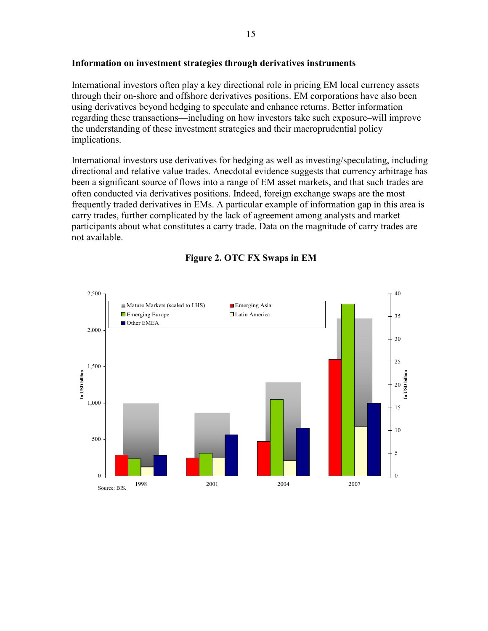#### **Information on investment strategies through derivatives instruments**

International investors often play a key directional role in pricing EM local currency assets through their on-shore and offshore derivatives positions. EM corporations have also been using derivatives beyond hedging to speculate and enhance returns. Better information regarding these transactions—including on how investors take such exposure–will improve the understanding of these investment strategies and their macroprudential policy implications.

International investors use derivatives for hedging as well as investing/speculating, including directional and relative value trades. Anecdotal evidence suggests that currency arbitrage has been a significant source of flows into a range of EM asset markets, and that such trades are often conducted via derivatives positions. Indeed, foreign exchange swaps are the most frequently traded derivatives in EMs. A particular example of information gap in this area is carry trades, further complicated by the lack of agreement among analysts and market participants about what constitutes a carry trade. Data on the magnitude of carry trades are not available.



## **Figure 2. OTC FX Swaps in EM**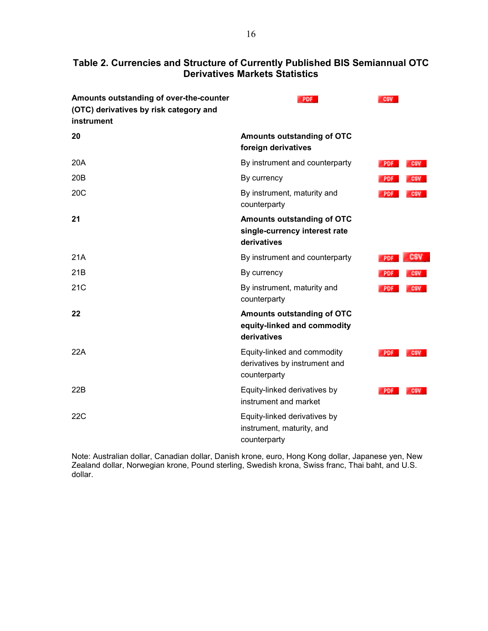## **Table 2. Currencies and Structure of Currently Published BIS Semiannual OTC Derivatives Markets Statistics**

| Amounts outstanding of over-the-counter<br>(OTC) derivatives by risk category and<br>instrument | <b>PDF</b>                                                                   | <b>CSV</b> |            |
|-------------------------------------------------------------------------------------------------|------------------------------------------------------------------------------|------------|------------|
| 20                                                                                              | Amounts outstanding of OTC<br>foreign derivatives                            |            |            |
| 20A                                                                                             | By instrument and counterparty                                               | <b>PDF</b> | <b>CSV</b> |
| 20B                                                                                             | By currency                                                                  | <b>PDF</b> | <b>CSV</b> |
| 20C                                                                                             | By instrument, maturity and<br>counterparty                                  | <b>PDF</b> | <b>CSV</b> |
| 21                                                                                              | Amounts outstanding of OTC<br>single-currency interest rate<br>derivatives   |            |            |
| 21A                                                                                             | By instrument and counterparty                                               | <b>PDF</b> | CSV        |
| 21B                                                                                             | By currency                                                                  | <b>PDF</b> | <b>CSV</b> |
| 21C                                                                                             | By instrument, maturity and<br>counterparty                                  | PDF        | <b>CSV</b> |
| 22                                                                                              | Amounts outstanding of OTC<br>equity-linked and commodity<br>derivatives     |            |            |
| 22A                                                                                             | Equity-linked and commodity<br>derivatives by instrument and<br>counterparty | PDF        | <b>CSV</b> |
| 22B                                                                                             | Equity-linked derivatives by<br>instrument and market                        | PDF        | <b>CSV</b> |
| 22C                                                                                             | Equity-linked derivatives by<br>instrument, maturity, and<br>counterparty    |            |            |

Note: Australian dollar, Canadian dollar, Danish krone, euro, Hong Kong dollar, Japanese yen, New Zealand dollar, Norwegian krone, Pound sterling, Swedish krona, Swiss franc, Thai baht, and U.S. dollar.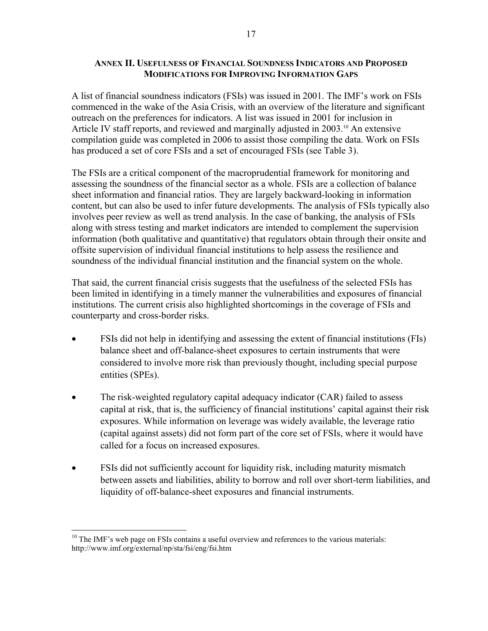## **ANNEX II. USEFULNESS OF FINANCIAL SOUNDNESS INDICATORS AND PROPOSED MODIFICATIONS FOR IMPROVING INFORMATION GAPS**

A list of financial soundness indicators (FSIs) was issued in 2001. The IMF's work on FSIs commenced in the wake of the Asia Crisis, with an overview of the literature and significant outreach on the preferences for indicators. A list was issued in 2001 for inclusion in Article IV staff reports, and reviewed and marginally adjusted in  $2003$ .<sup>10</sup> An extensive compilation guide was completed in 2006 to assist those compiling the data. Work on FSIs has produced a set of core FSIs and a set of encouraged FSIs (see Table 3).

The FSIs are a critical component of the macroprudential framework for monitoring and assessing the soundness of the financial sector as a whole. FSIs are a collection of balance sheet information and financial ratios. They are largely backward-looking in information content, but can also be used to infer future developments. The analysis of FSIs typically also involves peer review as well as trend analysis. In the case of banking, the analysis of FSIs along with stress testing and market indicators are intended to complement the supervision information (both qualitative and quantitative) that regulators obtain through their onsite and offsite supervision of individual financial institutions to help assess the resilience and soundness of the individual financial institution and the financial system on the whole.

That said, the current financial crisis suggests that the usefulness of the selected FSIs has been limited in identifying in a timely manner the vulnerabilities and exposures of financial institutions. The current crisis also highlighted shortcomings in the coverage of FSIs and counterparty and cross-border risks.

- FSIs did not help in identifying and assessing the extent of financial institutions (FIs) balance sheet and off-balance-sheet exposures to certain instruments that were considered to involve more risk than previously thought, including special purpose entities (SPEs).
- The risk-weighted regulatory capital adequacy indicator (CAR) failed to assess capital at risk, that is, the sufficiency of financial institutions' capital against their risk exposures. While information on leverage was widely available, the leverage ratio (capital against assets) did not form part of the core set of FSIs, where it would have called for a focus on increased exposures.
- FSIs did not sufficiently account for liquidity risk, including maturity mismatch between assets and liabilities, ability to borrow and roll over short-term liabilities, and liquidity of off-balance-sheet exposures and financial instruments.

 $10$  The IMF's web page on FSIs contains a useful overview and references to the various materials: http://www.imf.org/external/np/sta/fsi/eng/fsi.htm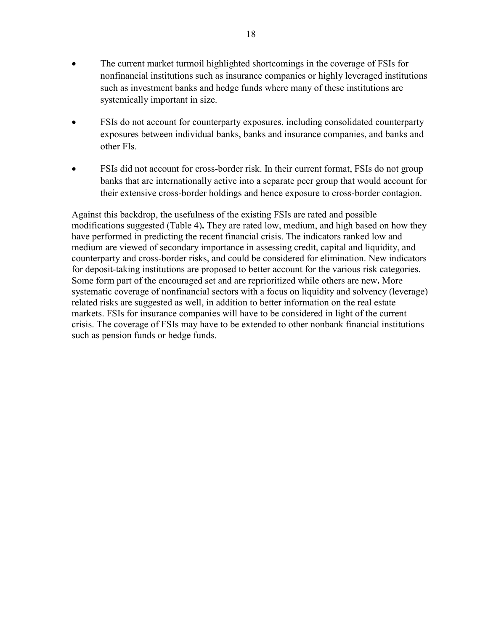- The current market turmoil highlighted shortcomings in the coverage of FSIs for nonfinancial institutions such as insurance companies or highly leveraged institutions such as investment banks and hedge funds where many of these institutions are systemically important in size.
- FSIs do not account for counterparty exposures, including consolidated counterparty exposures between individual banks, banks and insurance companies, and banks and other FIs.
- FSIs did not account for cross-border risk. In their current format, FSIs do not group banks that are internationally active into a separate peer group that would account for their extensive cross-border holdings and hence exposure to cross-border contagion.

Against this backdrop, the usefulness of the existing FSIs are rated and possible modifications suggested (Table 4)**.** They are rated low, medium, and high based on how they have performed in predicting the recent financial crisis. The indicators ranked low and medium are viewed of secondary importance in assessing credit, capital and liquidity, and counterparty and cross-border risks, and could be considered for elimination. New indicators for deposit-taking institutions are proposed to better account for the various risk categories. Some form part of the encouraged set and are reprioritized while others are new**.** More systematic coverage of nonfinancial sectors with a focus on liquidity and solvency (leverage) related risks are suggested as well, in addition to better information on the real estate markets. FSIs for insurance companies will have to be considered in light of the current crisis. The coverage of FSIs may have to be extended to other nonbank financial institutions such as pension funds or hedge funds.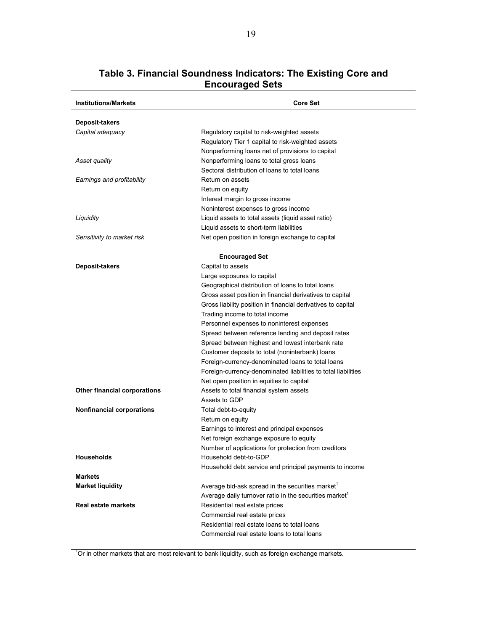| <b>Institutions/Markets</b>      | <b>Core Set</b>                                                    |
|----------------------------------|--------------------------------------------------------------------|
| Deposit-takers                   |                                                                    |
| Capital adequacy                 | Regulatory capital to risk-weighted assets                         |
|                                  | Regulatory Tier 1 capital to risk-weighted assets                  |
|                                  | Nonperforming loans net of provisions to capital                   |
| Asset quality                    | Nonperforming loans to total gross loans                           |
|                                  | Sectoral distribution of loans to total loans                      |
| Earnings and profitability       | Return on assets                                                   |
|                                  | Return on equity                                                   |
|                                  | Interest margin to gross income                                    |
|                                  | Noninterest expenses to gross income                               |
| Liquidity                        | Liquid assets to total assets (liquid asset ratio)                 |
|                                  | Liquid assets to short-term liabilities                            |
| Sensitivity to market risk       | Net open position in foreign exchange to capital                   |
|                                  |                                                                    |
|                                  | <b>Encouraged Set</b>                                              |
| Deposit-takers                   | Capital to assets                                                  |
|                                  | Large exposures to capital                                         |
|                                  | Geographical distribution of loans to total loans                  |
|                                  | Gross asset position in financial derivatives to capital           |
|                                  | Gross liability position in financial derivatives to capital       |
|                                  | Trading income to total income                                     |
|                                  | Personnel expenses to noninterest expenses                         |
|                                  | Spread between reference lending and deposit rates                 |
|                                  | Spread between highest and lowest interbank rate                   |
|                                  | Customer deposits to total (noninterbank) loans                    |
|                                  | Foreign-currency-denominated loans to total loans                  |
|                                  | Foreign-currency-denominated liabilities to total liabilities      |
|                                  | Net open position in equities to capital                           |
| Other financial corporations     | Assets to total financial system assets                            |
|                                  | Assets to GDP                                                      |
| <b>Nonfinancial corporations</b> | Total debt-to-equity                                               |
|                                  | Return on equity                                                   |
|                                  | Earnings to interest and principal expenses                        |
|                                  | Net foreign exchange exposure to equity                            |
|                                  | Number of applications for protection from creditors               |
| <b>Households</b>                | Household debt-to-GDP                                              |
|                                  | Household debt service and principal payments to income            |
| <b>Markets</b>                   |                                                                    |
| <b>Market liquidity</b>          | Average bid-ask spread in the securities market <sup>1</sup>       |
|                                  | Average daily turnover ratio in the securities market <sup>1</sup> |
| <b>Real estate markets</b>       | Residential real estate prices                                     |
|                                  | Commercial real estate prices                                      |
|                                  | Residential real estate loans to total loans                       |
|                                  | Commercial real estate loans to total loans                        |

# **Table 3. Financial Soundness Indicators: The Existing Core and Encouraged Sets**

<sup>1</sup>Or in other markets that are most relevant to bank liquidity, such as foreign exchange markets.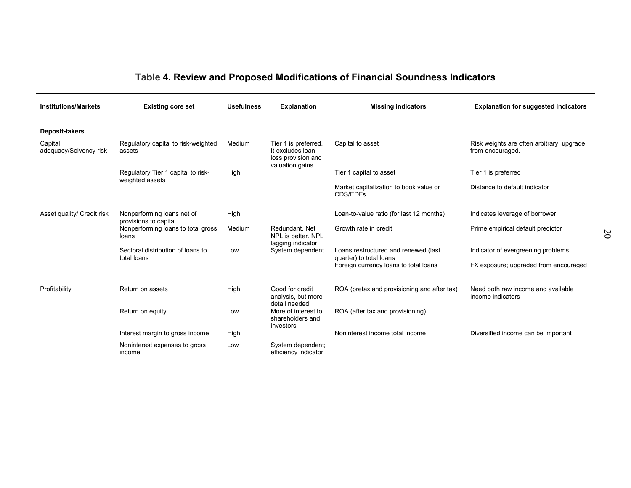# **Table 4. Review and Proposed Modifications of Financial Soundness Indicators**

| <b>Institutions/Markets</b>       | <b>Existing core set</b>                                             | <b>Usefulness</b> | <b>Explanation</b>                                                                | <b>Missing indicators</b>                                        | <b>Explanation for suggested indicators</b>                   |
|-----------------------------------|----------------------------------------------------------------------|-------------------|-----------------------------------------------------------------------------------|------------------------------------------------------------------|---------------------------------------------------------------|
| Deposit-takers                    |                                                                      |                   |                                                                                   |                                                                  |                                                               |
| Capital<br>adequacy/Solvency risk | Regulatory capital to risk-weighted<br>assets                        | Medium            | Tier 1 is preferred.<br>It excludes loan<br>loss provision and<br>valuation gains | Capital to asset                                                 | Risk weights are often arbitrary; upgrade<br>from encouraged. |
|                                   | Regulatory Tier 1 capital to risk-                                   | High              |                                                                                   | Tier 1 capital to asset                                          | Tier 1 is preferred                                           |
|                                   | weighted assets                                                      |                   |                                                                                   | Market capitalization to book value or<br>CDS/EDFs               | Distance to default indicator                                 |
| Asset quality/ Credit risk        | Nonperforming loans net of                                           | High              |                                                                                   | Loan-to-value ratio (for last 12 months)                         | Indicates leverage of borrower                                |
|                                   | provisions to capital<br>Nonperforming loans to total gross<br>loans | Medium            | Redundant, Net<br>NPL is better. NPL                                              | Growth rate in credit                                            | Prime empirical default predictor                             |
|                                   | Sectoral distribution of loans to                                    | Low               | lagging indicator<br>System dependent                                             | Loans restructured and renewed (last                             | Indicator of evergreening problems                            |
|                                   | total loans                                                          |                   |                                                                                   | quarter) to total loans<br>Foreign currency loans to total loans | FX exposure; upgraded from encouraged                         |
| Profitability                     | Return on assets                                                     | High              | Good for credit<br>analysis, but more<br>detail needed                            | ROA (pretax and provisioning and after tax)                      | Need both raw income and available<br>income indicators       |
|                                   | Return on equity                                                     | Low               | More of interest to<br>shareholders and<br>investors                              | ROA (after tax and provisioning)                                 |                                                               |
|                                   | Interest margin to gross income                                      | High              |                                                                                   | Noninterest income total income                                  | Diversified income can be important                           |
|                                   | Noninterest expenses to gross<br>income                              | Low               | System dependent;<br>efficiency indicator                                         |                                                                  |                                                               |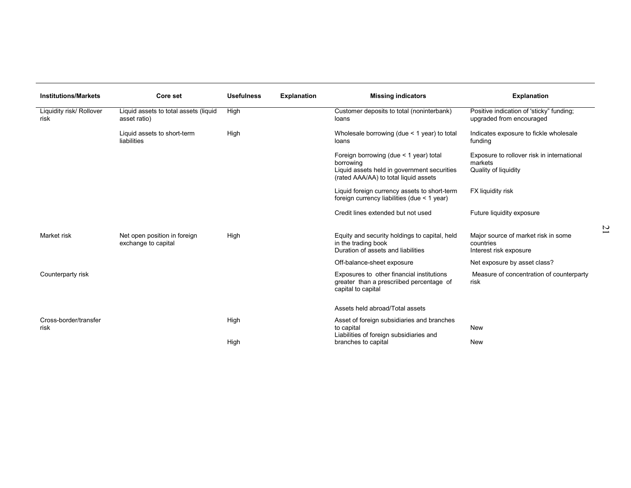| <b>Institutions/Markets</b>      | Core set                                              | <b>Usefulness</b> | <b>Explanation</b> | <b>Missing indicators</b>                                                                                                                   | <b>Explanation</b>                                                            |
|----------------------------------|-------------------------------------------------------|-------------------|--------------------|---------------------------------------------------------------------------------------------------------------------------------------------|-------------------------------------------------------------------------------|
| Liquidity risk/ Rollover<br>risk | Liquid assets to total assets (liquid<br>asset ratio) | High              |                    | Customer deposits to total (noninterbank)<br>loans                                                                                          | Positive indication of 'sticky" funding;<br>upgraded from encouraged          |
|                                  | Liquid assets to short-term<br>liabilities            | High              |                    | Wholesale borrowing (due < 1 year) to total<br>loans                                                                                        | Indicates exposure to fickle wholesale<br>funding                             |
|                                  |                                                       |                   |                    | Foreign borrowing (due < 1 year) total<br>borrowing<br>Liquid assets held in government securities<br>(rated AAA/AA) to total liquid assets | Exposure to rollover risk in international<br>markets<br>Quality of liquidity |
|                                  |                                                       |                   |                    | Liquid foreign currency assets to short-term<br>foreign currency liabilities (due < 1 year)                                                 | FX liquidity risk                                                             |
|                                  |                                                       |                   |                    | Credit lines extended but not used                                                                                                          | Future liquidity exposure                                                     |
| Market risk                      | Net open position in foreign<br>exchange to capital   | High              |                    | Equity and security holdings to capital, held<br>in the trading book<br>Duration of assets and liabilities                                  | Major source of market risk in some<br>countries<br>Interest risk exposure    |
|                                  |                                                       |                   |                    | Off-balance-sheet exposure                                                                                                                  | Net exposure by asset class?                                                  |
| Counterparty risk                |                                                       |                   |                    | Exposures to other financial institutions<br>greater than a prescriibed percentage of<br>capital to capital                                 | Measure of concentration of counterparty<br>risk                              |
|                                  |                                                       |                   |                    | Assets held abroad/Total assets                                                                                                             |                                                                               |
| Cross-border/transfer<br>risk    |                                                       | High              |                    | Asset of foreign subsidiaries and branches<br>to capital<br>Liabilities of foreign subsidiaries and                                         | New                                                                           |
|                                  |                                                       | High              |                    | branches to capital                                                                                                                         | <b>New</b>                                                                    |

21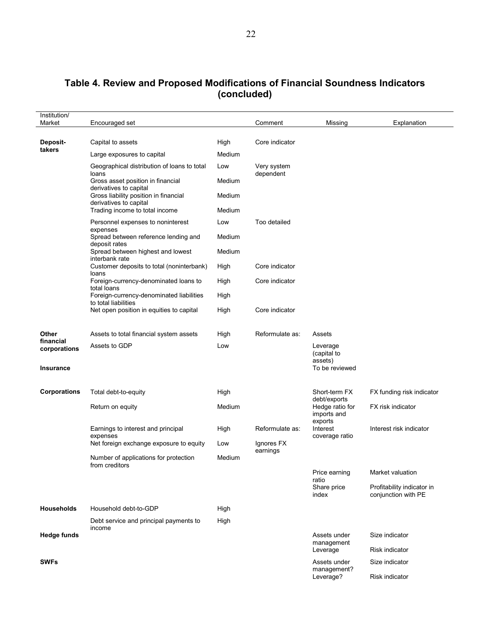# **Table 4. Review and Proposed Modifications of Financial Soundness Indicators (concluded)**

| Institution/<br>Market           | Encouraged set                                                   |             | Comment                  | Missing                                              | Explanation                                       |
|----------------------------------|------------------------------------------------------------------|-------------|--------------------------|------------------------------------------------------|---------------------------------------------------|
|                                  |                                                                  |             |                          |                                                      |                                                   |
| Deposit-<br>takers               | Capital to assets                                                | High        | Core indicator           |                                                      |                                                   |
|                                  | Large exposures to capital                                       | Medium      |                          |                                                      |                                                   |
|                                  | Geographical distribution of loans to total<br>loans             | Low         | Very system<br>dependent |                                                      |                                                   |
|                                  | Gross asset position in financial<br>derivatives to capital      | Medium      |                          |                                                      |                                                   |
|                                  | Gross liability position in financial<br>derivatives to capital  | Medium      |                          |                                                      |                                                   |
|                                  | Trading income to total income                                   | Medium      |                          |                                                      |                                                   |
|                                  | Personnel expenses to noninterest<br>expenses                    | Low         | Too detailed             |                                                      |                                                   |
|                                  | Spread between reference lending and<br>deposit rates            | Medium      |                          |                                                      |                                                   |
|                                  | Spread between highest and lowest<br>interbank rate              | Medium      |                          |                                                      |                                                   |
|                                  | Customer deposits to total (noninterbank)<br>loans               | High        | Core indicator           |                                                      |                                                   |
|                                  | Foreign-currency-denominated loans to<br>total loans             | High        | Core indicator           |                                                      |                                                   |
|                                  | Foreign-currency-denominated liabilities<br>to total liabilities | High        |                          |                                                      |                                                   |
|                                  | Net open position in equities to capital                         | High        | Core indicator           |                                                      |                                                   |
| Other                            | Assets to total financial system assets                          |             | Reformulate as:          |                                                      |                                                   |
| financial                        | Assets to GDP                                                    | High<br>Low |                          | Assets                                               |                                                   |
| corporations<br><b>Insurance</b> |                                                                  |             |                          | Leverage<br>(capital to<br>assets)<br>To be reviewed |                                                   |
|                                  |                                                                  |             |                          |                                                      |                                                   |
| <b>Corporations</b>              | Total debt-to-equity                                             | High        |                          | Short-term FX<br>debt/exports                        | FX funding risk indicator                         |
|                                  | Return on equity                                                 | Medium      |                          | Hedge ratio for<br>imports and                       | FX risk indicator                                 |
|                                  | Earnings to interest and principal                               | High        | Reformulate as:          | exports<br>Interest                                  | Interest risk indicator                           |
|                                  | expenses<br>Net foreign exchange exposure to equity              | Low         | Ignores FX               | coverage ratio                                       |                                                   |
|                                  | Number of applications for protection<br>from creditors          | Medium      | earnings                 |                                                      |                                                   |
|                                  |                                                                  |             |                          | Price earning<br>ratio                               | Market valuation                                  |
|                                  |                                                                  |             |                          | Share price<br>index                                 | Profitability indicator in<br>conjunction with PE |
| <b>Households</b>                | Household debt-to-GDP                                            | High        |                          |                                                      |                                                   |
|                                  | Debt service and principal payments to                           | High        |                          |                                                      |                                                   |
| <b>Hedge funds</b>               | income                                                           |             |                          | Assets under                                         | Size indicator                                    |
|                                  |                                                                  |             |                          | management<br>Leverage                               | <b>Risk indicator</b>                             |
| <b>SWFs</b>                      |                                                                  |             |                          | Assets under                                         | Size indicator                                    |
|                                  |                                                                  |             |                          | management?<br>Leverage?                             | Risk indicator                                    |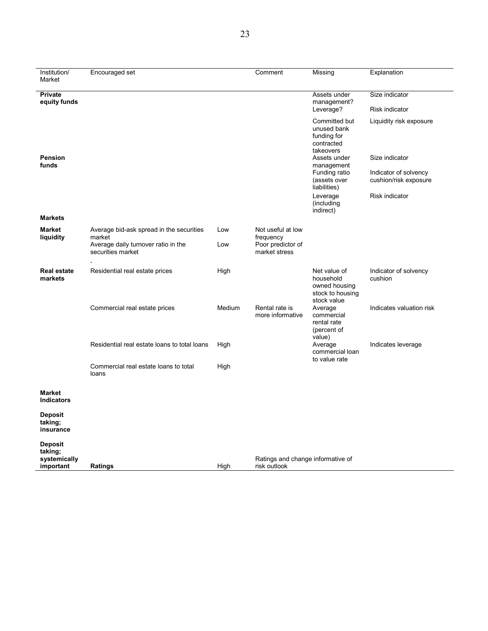| Institution/                              | Encouraged set                                           |        | Comment                                           | Missing                                                                       | Explanation                                    |
|-------------------------------------------|----------------------------------------------------------|--------|---------------------------------------------------|-------------------------------------------------------------------------------|------------------------------------------------|
| Market                                    |                                                          |        |                                                   |                                                                               |                                                |
| <b>Private</b><br>equity funds            |                                                          |        |                                                   | Assets under<br>management?                                                   | Size indicator                                 |
|                                           |                                                          |        |                                                   | Leverage?                                                                     | <b>Risk indicator</b>                          |
|                                           |                                                          |        |                                                   | Committed but<br>unused bank<br>funding for<br>contracted<br>takeovers        | Liquidity risk exposure                        |
| <b>Pension</b><br>funds                   |                                                          |        |                                                   | Assets under<br>management                                                    | Size indicator                                 |
|                                           |                                                          |        |                                                   | Funding ratio<br>(assets over<br>liabilities)                                 | Indicator of solvency<br>cushion/risk exposure |
|                                           |                                                          |        |                                                   | Leverage<br>(including<br>indirect)                                           | <b>Risk indicator</b>                          |
| <b>Markets</b>                            |                                                          |        |                                                   |                                                                               |                                                |
| <b>Market</b><br>liquidity                | Average bid-ask spread in the securities<br>market       | Low    | Not useful at low<br>frequency                    |                                                                               |                                                |
|                                           | Average daily turnover ratio in the<br>securities market | Low    | Poor predictor of<br>market stress                |                                                                               |                                                |
| <b>Real estate</b><br>markets             | Residential real estate prices                           | High   |                                                   | Net value of<br>household<br>owned housing<br>stock to housing<br>stock value | Indicator of solvency<br>cushion               |
|                                           | Commercial real estate prices                            | Medium | Rental rate is<br>more informative                | Average<br>commercial<br>rental rate<br>(percent of                           | Indicates valuation risk                       |
|                                           | Residential real estate loans to total loans             | High   |                                                   | value)<br>Average<br>commercial loan<br>to value rate                         | Indicates leverage                             |
|                                           | Commercial real estate loans to total<br>loans           | High   |                                                   |                                                                               |                                                |
| <b>Market</b><br><b>Indicators</b>        |                                                          |        |                                                   |                                                                               |                                                |
| <b>Deposit</b><br>taking;<br>insurance    |                                                          |        |                                                   |                                                                               |                                                |
| <b>Deposit</b><br>taking;<br>systemically |                                                          |        |                                                   |                                                                               |                                                |
| important                                 | Ratings                                                  | High   | Ratings and change informative of<br>risk outlook |                                                                               |                                                |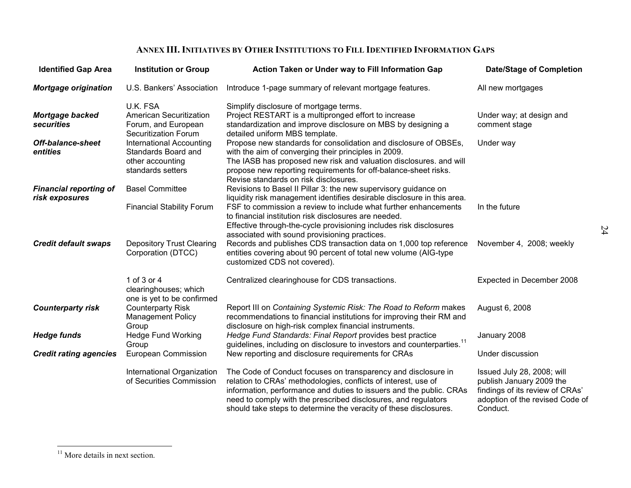#### **ANNEX III. INITIATIVES BY OTHER INSTITUTIONS TO FILL IDENTIFIED INFORMATION GAPS**

| <b>Identified Gap Area</b>                      | <b>Institution or Group</b>                                                                      | Action Taken or Under way to Fill Information Gap                                                                                                                                                                                                                                                                                             | <b>Date/Stage of Completion</b>                                                                                                          |
|-------------------------------------------------|--------------------------------------------------------------------------------------------------|-----------------------------------------------------------------------------------------------------------------------------------------------------------------------------------------------------------------------------------------------------------------------------------------------------------------------------------------------|------------------------------------------------------------------------------------------------------------------------------------------|
| <b>Mortgage origination</b>                     | U.S. Bankers' Association                                                                        | Introduce 1-page summary of relevant mortgage features.                                                                                                                                                                                                                                                                                       | All new mortgages                                                                                                                        |
| Mortgage backed<br>securities                   | U.K. FSA<br><b>American Securitization</b><br>Forum, and European<br><b>Securitization Forum</b> | Simplify disclosure of mortgage terms.<br>Project RESTART is a multipronged effort to increase<br>standardization and improve disclosure on MBS by designing a<br>detailed uniform MBS template.                                                                                                                                              | Under way; at design and<br>comment stage                                                                                                |
| <b>Off-balance-sheet</b><br>entities            | International Accounting<br>Standards Board and<br>other accounting<br>standards setters         | Propose new standards for consolidation and disclosure of OBSEs,<br>with the aim of converging their principles in 2009.<br>The IASB has proposed new risk and valuation disclosures. and will<br>propose new reporting requirements for off-balance-sheet risks.<br>Revise standards on risk disclosures.                                    | Under way                                                                                                                                |
| <b>Financial reporting of</b><br>risk exposures | <b>Basel Committee</b><br><b>Financial Stability Forum</b>                                       | Revisions to Basel II Pillar 3: the new supervisory guidance on<br>liquidity risk management identifies desirable disclosure in this area.<br>FSF to commission a review to include what further enhancements<br>to financial institution risk disclosures are needed.<br>Effective through-the-cycle provisioning includes risk disclosures  | In the future                                                                                                                            |
| <b>Credit default swaps</b>                     | <b>Depository Trust Clearing</b><br>Corporation (DTCC)                                           | associated with sound provisioning practices.<br>Records and publishes CDS transaction data on 1,000 top reference<br>entities covering about 90 percent of total new volume (AIG-type<br>customized CDS not covered).                                                                                                                        | November 4, 2008; weekly                                                                                                                 |
|                                                 | 1 of 3 or 4<br>clearinghouses; which<br>one is yet to be confirmed                               | Centralized clearinghouse for CDS transactions.                                                                                                                                                                                                                                                                                               | Expected in December 2008                                                                                                                |
| <b>Counterparty risk</b>                        | <b>Counterparty Risk</b><br><b>Management Policy</b><br>Group                                    | Report III on Containing Systemic Risk: The Road to Reform makes<br>recommendations to financial institutions for improving their RM and<br>disclosure on high-risk complex financial instruments.                                                                                                                                            | August 6, 2008                                                                                                                           |
| <b>Hedge funds</b>                              | <b>Hedge Fund Working</b><br>Group                                                               | Hedge Fund Standards: Final Report provides best practice<br>guidelines, including on disclosure to investors and counterparties. <sup>11</sup>                                                                                                                                                                                               | January 2008                                                                                                                             |
| <b>Credit rating agencies</b>                   | European Commission                                                                              | New reporting and disclosure requirements for CRAs                                                                                                                                                                                                                                                                                            | Under discussion                                                                                                                         |
|                                                 | International Organization<br>of Securities Commission                                           | The Code of Conduct focuses on transparency and disclosure in<br>relation to CRAs' methodologies, conflicts of interest, use of<br>information, performance and duties to issuers and the public. CRAs<br>need to comply with the prescribed disclosures, and regulators<br>should take steps to determine the veracity of these disclosures. | Issued July 28, 2008; will<br>publish January 2009 the<br>findings of its review of CRAs'<br>adoption of the revised Code of<br>Conduct. |

24

<sup>&</sup>lt;sup>11</sup> More details in next section.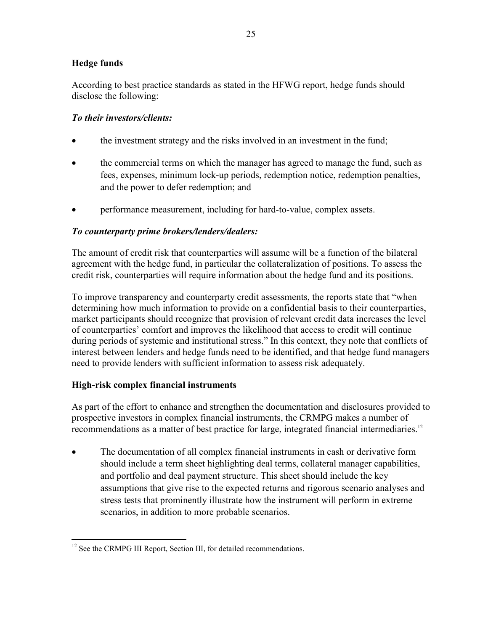# **Hedge funds**

According to best practice standards as stated in the HFWG report, hedge funds should disclose the following:

# *To their investors/clients:*

- the investment strategy and the risks involved in an investment in the fund;
- the commercial terms on which the manager has agreed to manage the fund, such as fees, expenses, minimum lock-up periods, redemption notice, redemption penalties, and the power to defer redemption; and
- performance measurement, including for hard-to-value, complex assets.

## *To counterparty prime brokers/lenders/dealers:*

The amount of credit risk that counterparties will assume will be a function of the bilateral agreement with the hedge fund, in particular the collateralization of positions. To assess the credit risk, counterparties will require information about the hedge fund and its positions.

To improve transparency and counterparty credit assessments, the reports state that "when determining how much information to provide on a confidential basis to their counterparties, market participants should recognize that provision of relevant credit data increases the level of counterparties' comfort and improves the likelihood that access to credit will continue during periods of systemic and institutional stress." In this context, they note that conflicts of interest between lenders and hedge funds need to be identified, and that hedge fund managers need to provide lenders with sufficient information to assess risk adequately.

# **High-risk complex financial instruments**

As part of the effort to enhance and strengthen the documentation and disclosures provided to prospective investors in complex financial instruments, the CRMPG makes a number of recommendations as a matter of best practice for large, integrated financial intermediaries.<sup>12</sup>

• The documentation of all complex financial instruments in cash or derivative form should include a term sheet highlighting deal terms, collateral manager capabilities, and portfolio and deal payment structure. This sheet should include the key assumptions that give rise to the expected returns and rigorous scenario analyses and stress tests that prominently illustrate how the instrument will perform in extreme scenarios, in addition to more probable scenarios.

<sup>1</sup> <sup>12</sup> See the CRMPG III Report, Section III, for detailed recommendations.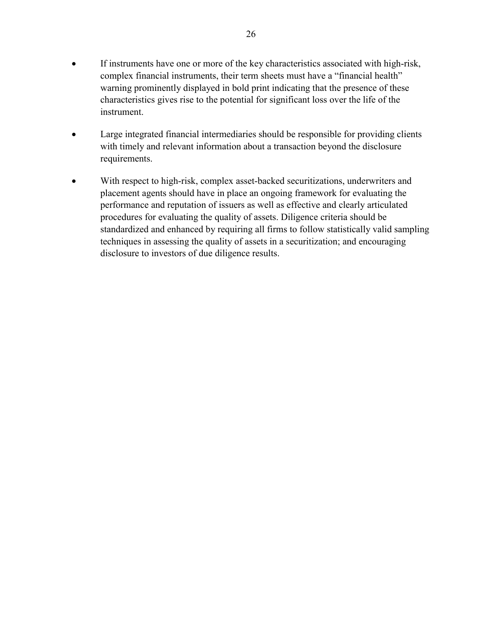- If instruments have one or more of the key characteristics associated with high-risk, complex financial instruments, their term sheets must have a "financial health" warning prominently displayed in bold print indicating that the presence of these characteristics gives rise to the potential for significant loss over the life of the instrument.
- Large integrated financial intermediaries should be responsible for providing clients with timely and relevant information about a transaction beyond the disclosure requirements.
- With respect to high-risk, complex asset-backed securitizations, underwriters and placement agents should have in place an ongoing framework for evaluating the performance and reputation of issuers as well as effective and clearly articulated procedures for evaluating the quality of assets. Diligence criteria should be standardized and enhanced by requiring all firms to follow statistically valid sampling techniques in assessing the quality of assets in a securitization; and encouraging disclosure to investors of due diligence results.